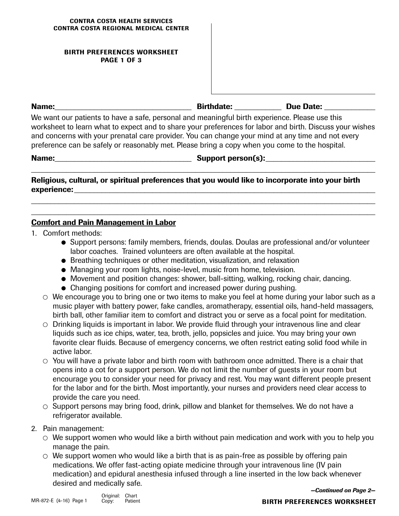### **BIRTH PREFERENCES WORKSHEET PAGE 1 OF 3**

**Name: \_\_\_\_\_\_\_\_\_\_\_\_\_\_\_\_\_\_\_\_\_\_\_\_\_\_\_\_\_\_\_\_\_\_\_ Birthdate: \_\_\_\_\_\_\_\_\_\_\_\_ Due Date:** \_\_\_\_\_\_\_\_\_\_\_\_\_

We want our patients to have a safe, personal and meaningful birth experience. Please use this worksheet to learn what to expect and to share your preferences for labor and birth. Discuss your wishes and concerns with your prenatal care provider. You can change your mind at any time and not every preference can be safely or reasonably met. Please bring a copy when you come to the hospital.

**\_\_\_\_\_\_\_\_\_\_\_\_\_\_\_\_\_\_\_\_\_\_\_\_\_\_\_\_\_\_\_\_\_\_\_\_\_\_\_\_\_\_\_\_\_\_\_\_\_\_\_\_\_\_\_\_\_\_\_\_\_\_\_\_\_\_\_\_\_\_\_\_\_\_\_\_\_\_\_\_\_\_\_\_\_\_\_\_**

**\_\_\_\_\_\_\_\_\_\_\_\_\_\_\_\_\_\_\_\_\_\_\_\_\_\_\_\_\_\_\_\_\_\_\_\_\_\_\_\_\_\_\_\_\_\_\_\_\_\_\_\_\_\_\_\_\_\_\_\_\_\_\_\_\_\_\_\_\_\_\_\_\_\_\_\_\_\_\_\_\_\_\_\_\_\_\_\_ \_\_\_\_\_\_\_\_\_\_\_\_\_\_\_\_\_\_\_\_\_\_\_\_\_\_\_\_\_\_\_\_\_\_\_\_\_\_\_\_\_\_\_\_\_\_\_\_\_\_\_\_\_\_\_\_\_\_\_\_\_\_\_\_\_\_\_\_\_\_\_\_\_\_\_\_\_\_\_\_\_\_\_\_\_\_\_\_**

Name: etc. and the state of the state of the Support person(s):

**Religious, cultural, or spiritual preferences that you would like to incorporate into your birth**  experience:

# **Comfort and Pain Management in Labor**

- 1. Comfort methods:
	- Support persons: family members, friends, doulas. Doulas are professional and/or volunteer labor coaches. Trained volunteers are often available at the hospital.
	- Breathing techniques or other meditation, visualization, and relaxation
	- Managing your room lights, noise-level, music from home, television.
	- Movement and position changes: shower, ball-sitting, walking, rocking chair, dancing.
	- Changing positions for comfort and increased power during pushing.
	- $\circ$  We encourage you to bring one or two items to make you feel at home during your labor such as a music player with battery power, fake candles, aromatherapy, essential oils, hand-held massagers, birth ball, other familiar item to comfort and distract you or serve as a focal point for meditation.
	- $\circ$  Drinking liquids is important in labor. We provide fluid through your intravenous line and clear liquids such as ice chips, water, tea, broth, jello, popsicles and juice. You may bring your own favorite clear fluids. Because of emergency concerns, we often restrict eating solid food while in active labor.
	- $\circ$  You will have a private labor and birth room with bathroom once admitted. There is a chair that opens into a cot for a support person. We do not limit the number of guests in your room but encourage you to consider your need for privacy and rest. You may want different people present for the labor and for the birth. Most importantly, your nurses and providers need clear access to provide the care you need.
	- $\circ$  Support persons may bring food, drink, pillow and blanket for themselves. We do not have a refrigerator available.
- 2. Pain management:
	- $\circ$  We support women who would like a birth without pain medication and work with you to help you manage the pain.
	- $\circ$  We support women who would like a birth that is as pain-free as possible by offering pain medications. We offer fast-acting opiate medicine through your intravenous line (IV pain medication) and epidural anesthesia infused through a line inserted in the low back whenever desired and medically safe.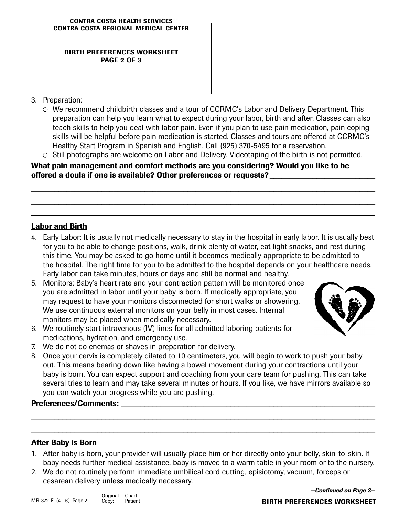### **BIRTH PREFERENCES WORKSHEET PAGE 2 OF 3**

- 3. Preparation:
	- We recommend childbirth classes and a tour of CCRMC's Labor and Delivery Department. This preparation can help you learn what to expect during your labor, birth and after. Classes can also teach skills to help you deal with labor pain. Even if you plan to use pain medication, pain coping skills will be helpful before pain medication is started. Classes and tours are offered at CCRMC's Healthy Start Program in Spanish and English. Call (925) 370-5495 for a reservation.
	- $\circ$  Still photographs are welcome on Labor and Delivery. Videotaping of the birth is not permitted.

\_\_\_\_\_\_\_\_\_\_\_\_\_\_\_\_\_\_\_\_\_\_\_\_\_\_\_\_\_\_\_\_\_\_\_\_\_\_\_\_\_\_\_\_\_\_\_\_\_\_\_\_\_\_\_\_\_\_\_\_\_\_\_\_\_\_\_\_\_\_\_\_\_\_\_\_\_\_\_\_\_\_\_\_\_\_\_\_

\_\_\_\_\_\_\_\_\_\_\_\_\_\_\_\_\_\_\_\_\_\_\_\_\_\_\_\_\_\_\_\_\_\_\_\_\_\_\_\_\_\_\_\_\_\_\_\_\_\_\_\_\_\_\_\_\_\_\_\_\_\_\_\_\_\_\_\_\_\_\_\_\_\_\_\_\_\_\_\_\_\_\_\_\_\_\_\_

**What pain management and comfort methods are you considering? Would you like to be offered a doula if one is available? Other preferences or requests?** \_\_\_\_\_\_\_\_\_\_\_\_\_\_\_\_\_\_\_\_\_\_\_\_\_\_\_

# **Labor and Birth**

- 4. Early Labor: It is usually not medically necessary to stay in the hospital in early labor. It is usually best for you to be able to change positions, walk, drink plenty of water, eat light snacks, and rest during this time. You may be asked to go home until it becomes medically appropriate to be admitted to the hospital. The right time for you to be admitted to the hospital depends on your healthcare needs. Early labor can take minutes, hours or days and still be normal and healthy.
- 5. Monitors: Baby's heart rate and your contraction pattern will be monitored once you are admitted in labor until your baby is born. If medically appropriate, you may request to have your monitors disconnected for short walks or showering. We use continuous external monitors on your belly in most cases. Internal monitors may be placed when medically necessary.



- 6. We routinely start intravenous (IV) lines for all admitted laboring patients for medications, hydration, and emergency use.
- 7. We do not do enemas or shaves in preparation for delivery.
- 8. Once your cervix is completely dilated to 10 centimeters, you will begin to work to push your baby out. This means bearing down like having a bowel movement during your contractions until your baby is born. You can expect support and coaching from your care team for pushing. This can take several tries to learn and may take several minutes or hours. If you like, we have mirrors available so you can watch your progress while you are pushing.

# Preferences/Comments:

# **After Baby is Born**

1. After baby is born, your provider will usually place him or her directly onto your belly, skin-to-skin. If baby needs further medical assistance, baby is moved to a warm table in your room or to the nursery.

**\_\_\_\_\_\_\_\_\_\_\_\_\_\_\_\_\_\_\_\_\_\_\_\_\_\_\_\_\_\_\_\_\_\_\_\_\_\_\_\_\_\_\_\_\_\_\_\_\_\_\_\_\_\_\_\_\_\_\_\_\_\_\_\_\_\_\_\_\_\_\_\_\_\_\_\_\_\_\_\_\_\_\_\_\_\_\_\_**

**\_\_\_\_\_\_\_\_\_\_\_\_\_\_\_\_\_\_\_\_\_\_\_\_\_\_\_\_\_\_\_\_\_\_\_\_\_\_\_\_\_\_\_\_\_\_\_\_\_\_\_\_\_\_\_\_\_\_\_\_\_\_\_\_\_\_\_\_\_\_\_\_\_\_\_\_\_\_\_\_\_\_\_\_\_\_\_\_**

2. We do not routinely perform immediate umbilical cord cutting, episiotomy, vacuum, forceps or cesarean delivery unless medically necessary.